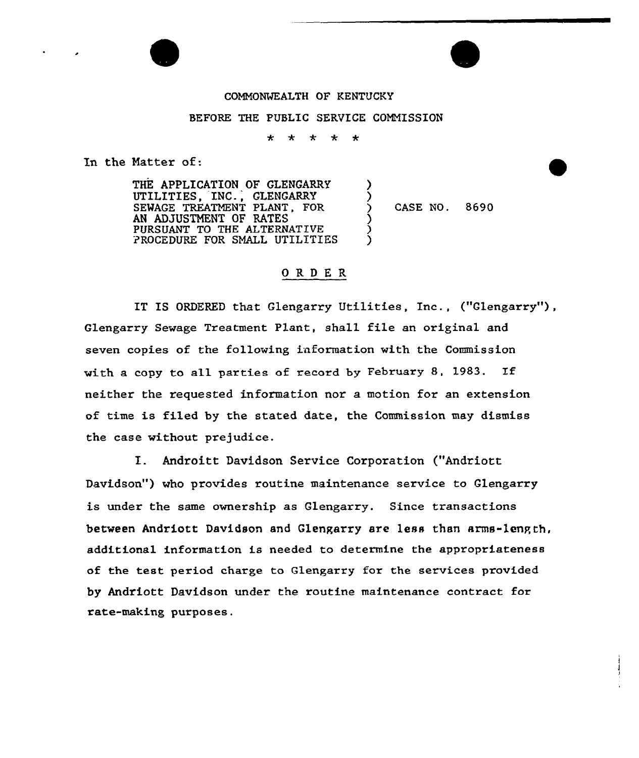## COMMONWEALTH OF KENTUCKY

## BEFORE THE PUBLIC SERVICE COMMISSION

 $*$   $*$  $* * *$ 

> ) )

)<br>\  $\hat{\mathcal{E}}$ )

In the Natter of:

THE APPLICATION OF GLENGARRY UTILITIES, INC., GLENGARRY SEWAGE TREATMENT PLANT, FOR AN ADJUSTNENT OF RATES PURSUANT TO THE ALTERNATIVE PROCEDURE FOR SMALL UTILITIES

) CASE NO. 8690

## ORDER

IT IS ORDERED that Glengarry Utilities, Inc., ("Glengarry"), Glengarry Sewage Treatment Plant, shall file an original and seven copies of the following information with the Commission with <sup>a</sup> copy to all parties of record by February 8, 1983. If neither the requested information nor a motion for an extension of time is filed by the stated date, the Commission may dismiss the case without prejudice.

I. Androitt Davidson Service Corporation ("Andriott Davidson") who provides routine maintenance service to Glengarry is under the same ownership as Glengarry. Since transactions between Andriott Davidson and Glengarry are less than arms-length, additional information is needed to determine the appropriateness of the test period charge to Glengarry for the services provided by Andriott Davidson under the routine maintenance contract for rate-making purposes.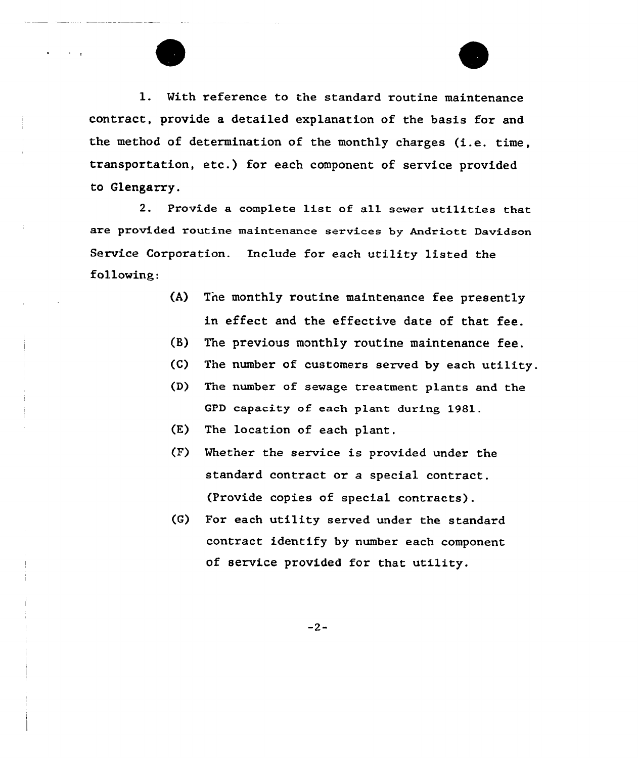l. Vith reference to the standard routine maintenance contract, provide a detailed explanation of the basis for and the method of determination of the monthly charges (i.e. time, transportation, etc.) for each component of service provided to Glengarry.

2. Provide a complete list of all sewer utilities that are provided routine maintenance services by Andriott Davidson Service Corporation. Include for each utility listed the following:

- (A) The monthly routine maintenance fee presently in effect and the effective date of that fee.
- (B} The previous monthly routine maintenance fee.
- $(C)$  The number of customers served by each utility.
- (D) The number of sewage treatment plants and the GPD capacity of each plant during 1981.
- (E) The location of each plant.
- (F) Whether the service is provided under the standard contract or a special contract. (Provide copies of special contracts).
- (G) For each utility served under the standard contract identify by number each component of service provided for that utility.

 $-2-$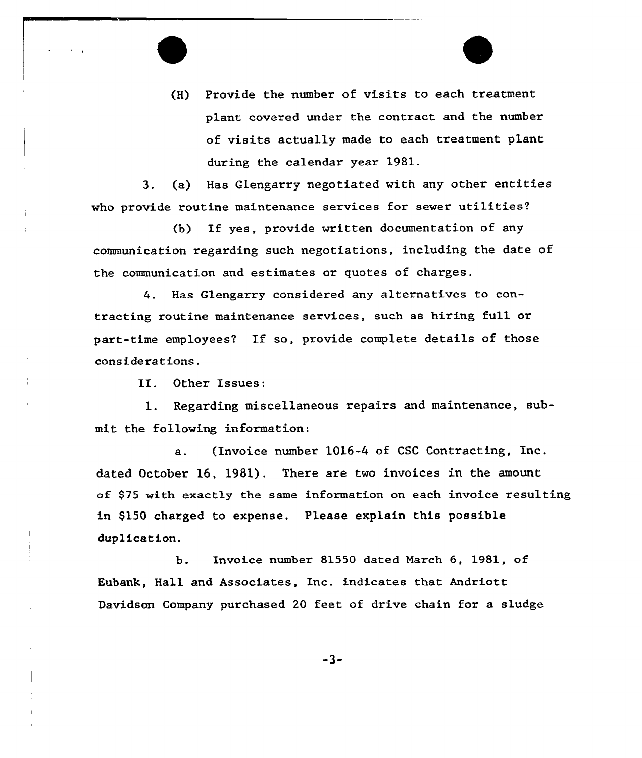(H) Provide the number of visits to each treatment plant covered under the contract and the number of visits actually made to each treatment plant during the calendar year 1981.

3. (a) Has Glengarry negotiated with any other entities who provide routine maintenance services for sewer utilities?

(b} If yes, provide written documentation of any communication regarding such negotiations, including the date of the communication and estimates or quotes of charges.

4. Has Glengarry considered any alternatives to contracting routine maintenance services, such as hiring full or part-time employees? If so, provide complete details of those considerations.

II. Other Issues:

l. Regarding miscellaneous repairs and maintenance, submit the following information:

a. (Invoice number 1016-4 of CSC Contracting, Inc. dated October 16, 1981). There are two invoices in the amount of \$75 with exactly the same information on each invoice resulting in \$150 charged to expense. Please explain this possible duplication.

b. Invoice number 81550 dated March 6, 1981, of Eubank, Hall and Associates, Inc. indicates that Andriott Davidson Company purchased 20 feet of drive chain for a sludge

-3-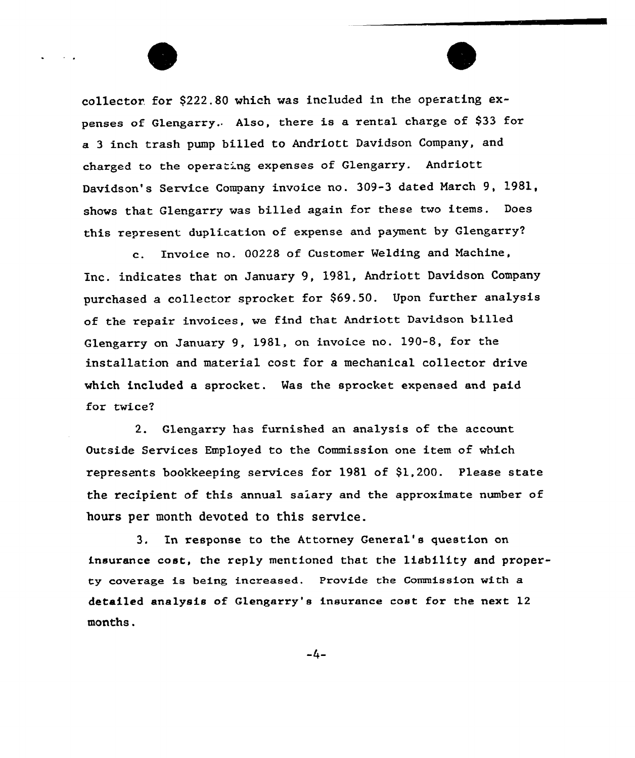collector. for \$222.80 which was included in the operating expenses of Glengarry. Also, there is a rental charge of \$33 for a <sup>3</sup> inch trash pump billed to Andriott Davidson Company, and charged to the operating expenses of Glengarry. Andriott Davidson's Service Company invoice no. 309-3 dated March 9, 1981, shows that Glengarry was billed again for these two items. Does this represent duplication of expense and payment by Glengarry?

c. Invoice no. 00228 of Customer Welding and Machine, Inc. indicates that on January 9, 1981, Andriott Davidson Company purchased a collector sprocket for \$69.50. Upon further analysis of the repair invoices, we find that Andriott Davidson billed Glengarry on January 9, 1981, on invoice no. 190-8, for the instaLlation and material cost for a mechanical collector drive which included a sprocket. Was the sprocket expensed and paid for twice?

2. Glengarry has furnished an analysis of the account Outside Services Employed to the Commission one item of which represents bookkeeping services for 1981 of \$1,200. Please state the recipient of this annual salary and the approximate number of hours per month devoted to this service.

3. In response to the Attorney General's question on insurance cost, the reply mentioned that the liability and property coverage is being increased. Provide the Commission with a detailed analysis of Glengarry's insurance cost for the next 12 months.

 $-4-$